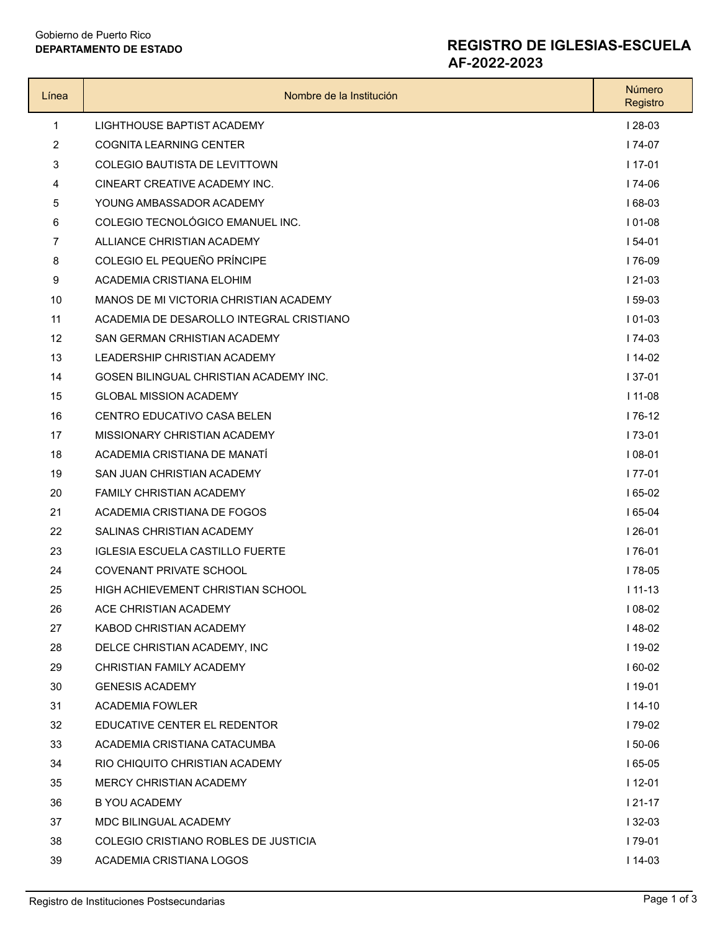# Gobierno de Puerto Rico

### **DEPARTAMENTO DE ESTADO REGISTRO DE IGLESIAS-ESCUELA**

**AF-2022-2023**

| Línea          | Nombre de la Institución                 | Número<br>Registro |
|----------------|------------------------------------------|--------------------|
| 1              | LIGHTHOUSE BAPTIST ACADEMY               | $128-03$           |
| 2              | <b>COGNITA LEARNING CENTER</b>           | $174-07$           |
| 3              | <b>COLEGIO BAUTISTA DE LEVITTOWN</b>     | $117-01$           |
| 4              | CINEART CREATIVE ACADEMY INC.            | $174-06$           |
| 5              | YOUNG AMBASSADOR ACADEMY                 | $168-03$           |
| 6              | COLEGIO TECNOLÓGICO EMANUEL INC.         | $101-08$           |
| $\overline{7}$ | ALLIANCE CHRISTIAN ACADEMY               | $154-01$           |
| 8              | COLEGIO EL PEQUEÑO PRÍNCIPE              | 176-09             |
| 9              | ACADEMIA CRISTIANA ELOHIM                | $121-03$           |
| 10             | MANOS DE MI VICTORIA CHRISTIAN ACADEMY   | $159-03$           |
| 11             | ACADEMIA DE DESAROLLO INTEGRAL CRISTIANO | $101-03$           |
| 12             | SAN GERMAN CRHISTIAN ACADEMY             | $174-03$           |
| 13             | <b>LEADERSHIP CHRISTIAN ACADEMY</b>      | $114-02$           |
| 14             | GOSEN BILINGUAL CHRISTIAN ACADEMY INC.   | $137-01$           |
| 15             | <b>GLOBAL MISSION ACADEMY</b>            | $111-08$           |
| 16             | CENTRO EDUCATIVO CASA BELEN              | $176-12$           |
| 17             | MISSIONARY CHRISTIAN ACADEMY             | $173-01$           |
| 18             | ACADEMIA CRISTIANA DE MANATÍ             | $108-01$           |
| 19             | SAN JUAN CHRISTIAN ACADEMY               | $177-01$           |
| 20             | <b>FAMILY CHRISTIAN ACADEMY</b>          | $165-02$           |
| 21             | ACADEMIA CRISTIANA DE FOGOS              | $165-04$           |
| 22             | SALINAS CHRISTIAN ACADEMY                | $126-01$           |
| 23             | <b>IGLESIA ESCUELA CASTILLO FUERTE</b>   | I 76-01            |
| 24             | COVENANT PRIVATE SCHOOL                  | $178-05$           |
| 25             | HIGH ACHIEVEMENT CHRISTIAN SCHOOL        | $111 - 13$         |
| 26             | ACE CHRISTIAN ACADEMY                    | $108-02$           |
| 27             | KABOD CHRISTIAN ACADEMY                  | $148-02$           |
| 28             | DELCE CHRISTIAN ACADEMY. INC             | $119-02$           |
| 29             | CHRISTIAN FAMILY ACADEMY                 | $160-02$           |
| 30             | <b>GENESIS ACADEMY</b>                   | $119-01$           |
| 31             | ACADEMIA FOWLER                          | $114-10$           |
| 32             | EDUCATIVE CENTER EL REDENTOR             | $179-02$           |
| 33             | ACADEMIA CRISTIANA CATACUMBA             | $150-06$           |
| 34             | RIO CHIQUITO CHRISTIAN ACADEMY           | $165-05$           |
| 35             | MERCY CHRISTIAN ACADEMY                  | $112-01$           |
| 36             | B YOU ACADEMY                            | $121-17$           |
| 37             | MDC BILINGUAL ACADEMY                    | $132-03$           |
| 38             | COLEGIO CRISTIANO ROBLES DE JUSTICIA     | I 79-01            |
| 39             | ACADEMIA CRISTIANA LOGOS                 | $114-03$           |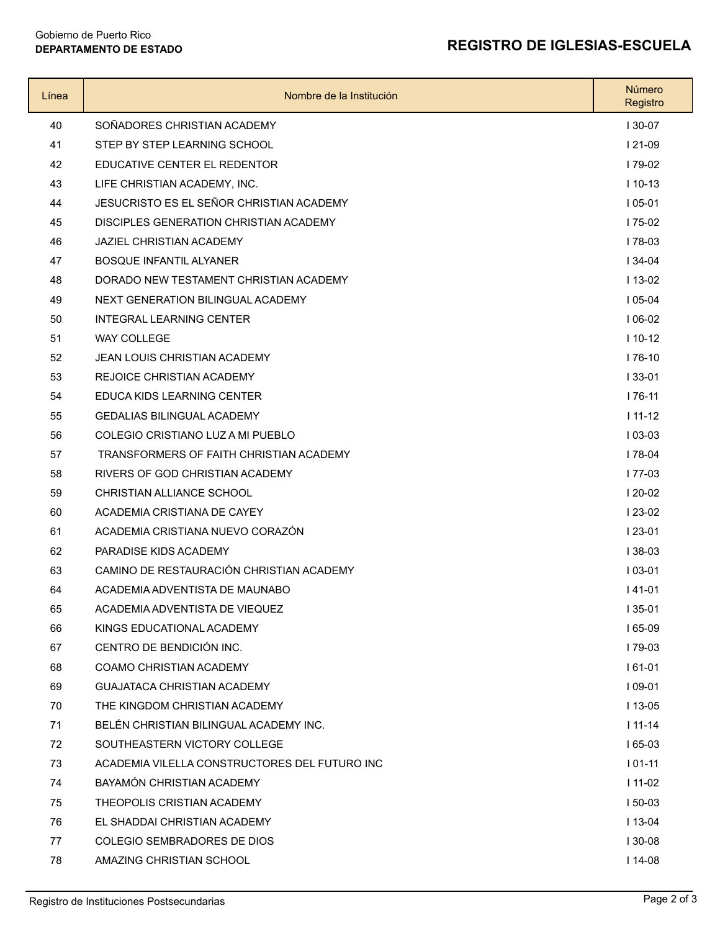#### **DEPARTAMENTO DE ESTADO REGISTRO DE IGLESIAS-ESCUELA**

## Gobierno de Puerto Rico<br>DEPARTAMENTO DE ESTADO

| Línea | Nombre de la Institución                      | Número<br>Registro |
|-------|-----------------------------------------------|--------------------|
| 40    | SOÑADORES CHRISTIAN ACADEMY                   | $130-07$           |
| 41    | STEP BY STEP LEARNING SCHOOL                  | $121-09$           |
| 42    | EDUCATIVE CENTER EL REDENTOR                  | 179-02             |
| 43    | LIFE CHRISTIAN ACADEMY, INC.                  | $110-13$           |
| 44    | JESUCRISTO ES EL SEÑOR CHRISTIAN ACADEMY      | $105-01$           |
| 45    | DISCIPLES GENERATION CHRISTIAN ACADEMY        | $175-02$           |
| 46    | <b>JAZIEL CHRISTIAN ACADEMY</b>               | $178-03$           |
| 47    | <b>BOSQUE INFANTIL ALYANER</b>                | $134 - 04$         |
| 48    | DORADO NEW TESTAMENT CHRISTIAN ACADEMY        | $113-02$           |
| 49    | NEXT GENERATION BILINGUAL ACADEMY             | $105-04$           |
| 50    | <b>INTEGRAL LEARNING CENTER</b>               | $106-02$           |
| 51    | <b>WAY COLLEGE</b>                            | $110-12$           |
| 52    | <b>JEAN LOUIS CHRISTIAN ACADEMY</b>           | $176-10$           |
| 53    | <b>REJOICE CHRISTIAN ACADEMY</b>              | $133 - 01$         |
| 54    | EDUCA KIDS LEARNING CENTER                    | $176-11$           |
| 55    | <b>GEDALIAS BILINGUAL ACADEMY</b>             | $111-12$           |
| 56    | COLEGIO CRISTIANO LUZ A MI PUEBLO             | $103-03$           |
| 57    | TRANSFORMERS OF FAITH CHRISTIAN ACADEMY       | $178-04$           |
| 58    | RIVERS OF GOD CHRISTIAN ACADEMY               | 177-03             |
| 59    | CHRISTIAN ALLIANCE SCHOOL                     | $120-02$           |
| 60    | ACADEMIA CRISTIANA DE CAYEY                   | $123-02$           |
| 61    | ACADEMIA CRISTIANA NUEVO CORAZÓN              | $123-01$           |
| 62    | PARADISE KIDS ACADEMY                         | $138-03$           |
| 63    | CAMINO DE RESTAURACIÓN CHRISTIAN ACADEMY      | $103-01$           |
| 64    | ACADEMIA ADVENTISTA DE MAUNABO                | $141-01$           |
| 65    | ACADEMIA ADVENTISTA DE VIEQUEZ                | I 35-01            |
| 66    | KINGS EDUCATIONAL ACADEMY                     | $165-09$           |
| 67    | CENTRO DE BENDICIÓN INC.                      | 179-03             |
| 68    | COAMO CHRISTIAN ACADEMY                       | $161-01$           |
| 69    | <b>GUAJATACA CHRISTIAN ACADEMY</b>            | $109-01$           |
| 70    | THE KINGDOM CHRISTIAN ACADEMY                 | $113 - 05$         |
| 71    | BELÉN CHRISTIAN BILINGUAL ACADEMY INC.        | $111 - 14$         |
| 72    | SOUTHEASTERN VICTORY COLLEGE                  | $165-03$           |
| 73    | ACADEMIA VILELLA CONSTRUCTORES DEL FUTURO INC | $101-11$           |
| 74    | BAYAMÓN CHRISTIAN ACADEMY                     | $111-02$           |
| 75    | THEOPOLIS CRISTIAN ACADEMY                    | $150-03$           |
| 76    | EL SHADDAI CHRISTIAN ACADEMY                  | $113-04$           |
| 77    | COLEGIO SEMBRADORES DE DIOS                   | $130-08$           |
| 78    | AMAZING CHRISTIAN SCHOOL                      | $114-08$           |